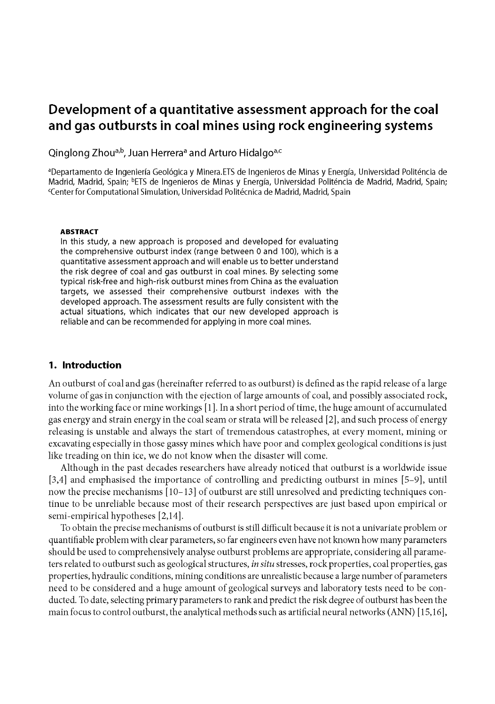# **Development of a quantitative assessment approach for the coal and gas outbursts in coal mines using rock engineering systems**

Qinglong Zhoua,b, Juan Herrera<sup>a</sup> and Arturo Hidalgoa,c

'Departamento de Ingeniería Geológica y Minera.ETS de Ingenieros de Minas y Energía, Universidad Politéncia de Madrid, Madrid, Spain; bETS de Ingenieros de Minas y Energía, Universidad Politéncia de Madrid, Madrid, Spain; 'Center for Computational Simulation, Universidad Politécnica de Madrid, Madrid, Spain

#### **ABSTRAeT**

In this study, a new approach is proposed and developed for evaluating the comprehensive outburst index (range between Oand 100), which is a quantitative assessment approach and will enable us to better understand the risk degree of coal and gas outburst in coal mines. By selecting some typical risk-free and high-risk outburst mines from China as the evaluation targets, we assessed their comprehensive outburst indexes with the developed approach. The assessment results are fully consistent with the actual situations, which indicates that our new developed approach is reliable and can be recommended for applying in more coal mines.

#### **1. Introduction**

An outburst of coal and gas (hereinafter refened to as outburst) is defined as the rapid release of a large volume ofgas in conjunction with the ejection oflarge amounts of coal, and possibly associated rock, into the working face or mine workings  $[1]$ . In a short period of time, the huge amount of accumulated gas energy and strain energy in the coal seam or strata will be released [2], and such process of energy releasing is unstable and always the start of tremendous catastrophes, at every moment, mining or excavating especially in those gassy mines which have poor and complex geological conditions is just like treading on thin ice, we do not know when the disaster will come.

Although in the past decades researchers have already noticed that outburst is a worldwide issue [3,4] and emphasised the importance of controlling and predicting outburst in mines [5-9], until now the precise mechanisms [10-13] of outburst are still unresolved and predicting techniques continue to be unreliable because most of their research perspectives are just based upon empirical or semi-empirical hypotheses [2,14].

Io obtain the precise mechanisms of outburst is still difficult because it is not a univariate problem or quantifiable problem with clear parameters, so far engineers even have not known how many parameters should be used to comprehensively analyse outburst problems are appropriate, considering all parameters related to outburst such as geological structures, *in situ* stresses, rock properties, coal properties, gas properties, hydraulic conditions, mining conditions are unrealistic because a large number of parameters need to be considered and a huge amount of geological surveys and laboratory tests need to be conducted. To date, selecting primary parameters to rank and predict the risk degree of outburst has been the main focus to control outburst, the analytical methods such as artificial neural networks (ANN) [15,16],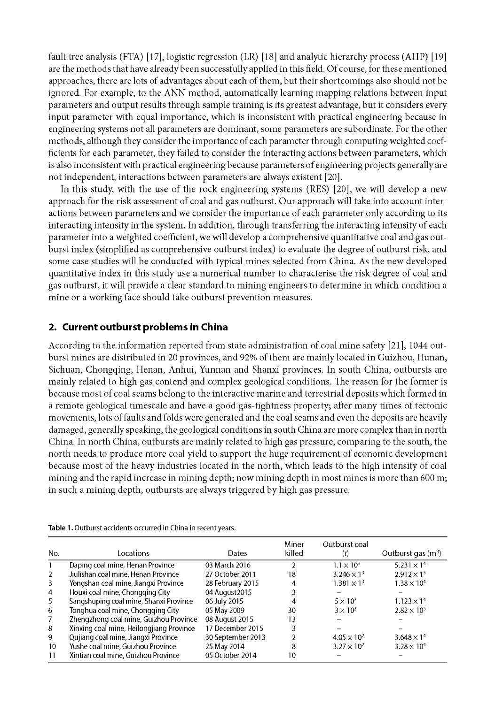fault tree analysis (FTA) [17], logistic regression (LR) [18] and analytic hierarchy process (AHP) [19] are the methods that have already been successfully applied in this field. Of course, for these mentioned approaches, there are lots of advantages about each of them, but their shortcomings also should not be ignored. For example, to the ANN method, automatically learning mapping relations between input parameters and output results through sample training is its greatest advantage, but it considers every input parameter with equal importance, which is inconsistent with practical engineering because in engineering systems not all parameters are dominant, sorne parameters are subordinate. For the other methods, although they consider the importance of each parameter through computing weighted coefficients for each parameter, they failed to consider the interacting actions between parameters, which is also inconsistent with practical engineering because parameters of engineering projects generally are not independent, interactions between parameters are always existent [20].

In this study, with the use of the rock engineering systems (RES) [20], we will develop a new approach for the risk assessment of coal and gas outburst. Our approach will take into account interactions between parameters and we consider the importance of each parameter only according to its interacting intensity in the system. In addition, through transferring the interacting intensity of each parameter into a weighted coefficient, we will develop a comprehensive quantitative coal and gas outburst index (simplified as comprehensive outburst index) to evaluate the degree of outburst risk, and sorne case studies will be conducted with typical mines selected from China. As the new developed quantitative index in this study use a numerical number to characterise the risk degree of coal and gas outburst, it will provide a clear standard to mining engineers to determine in which condition a mine or a working face should take outburst prevention measures.

## **2. Current outburst problems in China**

According to the information reported from state administration of coal mine safety [21], 1044 outburst mines are distributed in 20 provinces, and 92% ofthem are mainly located in Guizhou, Hunan, Sichuan, Chongqing, Henan, Anhui, Yunnan and Shanxi provinces. In south China, outbursts are mainly related to high gas contend and complex geological conditions. The reason for the former is because most of coal seams belong to the interactive marine and terrestrial deposits which formed in a remote geological timescale and have a good gas-tightness property; after many times of tectonic movements, lots offaults and folds were generated and the coal seams and even the deposits are heavily damaged, generally speaking, the geological conditions in south China are more complex than in north China. In north China, outbursts are mainly related to high gas pressure, comparing to the south, the north needs to produce more coal yield to support the huge requirement of economic development because most of the heavy industries located in the north, which leads to the high intensity of coal mining and the rapid increase in mining depth; now mining depth in most mines is more than 600 m; in such a mining depth, outbursts are always triggered by high gas pressure.

| No.            | Locations                                | Dates             | Miner<br>killed | Outburst coal<br>(t) | Outburst gas $(m^3)$ |
|----------------|------------------------------------------|-------------------|-----------------|----------------------|----------------------|
|                | Daping coal mine, Henan Province         | 03 March 2016     |                 | $1.1 \times 10^{3}$  | $5.231 \times 14$    |
| $\overline{2}$ | Jiulishan coal mine, Henan Province      | 27 October 2011   | 18              | $3.246 \times 1^{3}$ | $2.912 \times 15$    |
| 3              | Yongshan coal mine, Jiangxi Province     | 28 February 2015  | 4               | $1.381 \times 1^{3}$ | $1.38 \times 10^{4}$ |
| 4              | Houxi coal mine, Chongging City          | 04 August 2015    |                 |                      |                      |
| 5              | Sangshuping coal mine, Shanxi Province   | 06 July 2015      | 4               | $5 \times 10^2$      | $1.123 \times 14$    |
| 6              | Tonghua coal mine, Chongging City        | 05 May 2009       | 30              | $3 \times 10^2$      | $2.82 \times 10^{5}$ |
| 7              | Zhengzhong coal mine, Guizhou Province   | 08 August 2015    | 13              |                      |                      |
| 8              | Xinxing coal mine, Heilongjiang Province | 17 December 2015  |                 |                      |                      |
| 9              | Quijang coal mine, Jiangxi Province      | 30 September 2013 |                 | $4.05 \times 10^{2}$ | $3.648 \times 1^{4}$ |
| 10             | Yushe coal mine, Guizhou Province        | 25 May 2014       | 8               | $3.27 \times 10^{2}$ | $3.28 \times 10^{4}$ |
| 11             | Xintian coal mine, Guizhou Province      | 05 October 2014   | 10              |                      |                      |

**Table** 1. Outburst accidents occurred in China in recent years.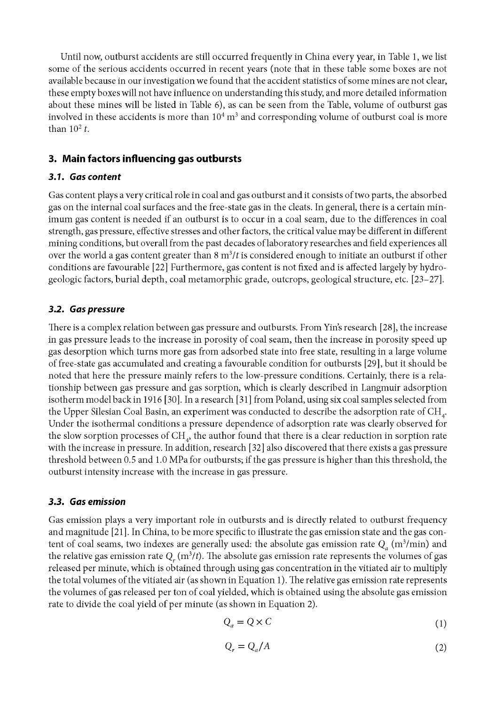Until now, outburst accidents are still occurred frequently in China every year, in Table 1, we list sorne of the serious accidents occurred in recent years (note that in these table sorne boxes are not available because in our investigation we found that the accident statistics ofsorne mines are not clear, these empty boxes will not have influence on understanding this study, and more detailed information about these mines will be listed in Table 6), as can be seen from the Table, volume of outburst gas involved in these accidents is more than  $10^4$  m<sup>3</sup> and corresponding volume of outburst coal is more than  $10^2 t$ .

### **3. Main factors influencing gas outbursts**

### *3.1. Gas content*

Gas content plays a very critical role in coal and gas outburst and it consists oftwo parts, the absorbed gas on the internal coal surfaces and the free-state gas in the cleats. In general, there is a certain minimum gas content is needed if an outburst is to occur in a coal seam, due to the differences in coal strength, gas pressure, effective stresses and other factors, the critical value may be different in different mining conditions, but overall from the past decades of laboratory researches and field experiences all over the world a gas content greater than 8 *m3 /t* is considered enough to initiate an outburst if other conditions are favourable [22] Furthermore, gas content is not fixed and is affected largely by hydrogeologic factors, burial depth, coal metamorphic grade, outcrops, geological structure, etc. [23-27].

## *3.2. Gas pressure*

There is a complex relation between gas pressure and outbursts. From Yin's research [28], the increase in gas pressure leads to the increase in porosity of coal seam, then the increase in porosity speed up gas desorption which turns more gas from adsorbed state into free state, resulting in a large volume offree-state gas accumulated and creating a favourable condition for outbursts [29], but it should be noted that here the pressure mainly refers to the low-pressure conditions. Certainly, there is a relationship between gas pressure and gas sorption, which is clearly described in Langmuir adsorption isotherm model back in 1916 [30]. In a research [31] from Poland, using six coal samples selected from the Upper Silesian Coal Basin, an experiment was conducted to describe the adsorption rate of CH $_4\cdot$ Under the isothermal conditions a pressure dependence of adsorption rate was clearly observed for the slow sorption processes of CH<sub>4</sub>, the author found that there is a clear reduction in sorption rate with the increase in pressure. In addition, research [32] also discovered that there exists a gas pressure threshold between 0.5 and 1.0 MPa for outbursts; ifthe gas pressure is higher than this threshold, the outburst intensity increase with the increase in gas pressure.

### *3.3. Gas emission*

Gas emission plays a very important role in outbursts and is directly related to outburst frequency and magnitude [21]. In China, to be more specific to illustrate the gas emission state and the gas content of coal seams, two indexes are generally used: the absolute gas emission rate  $Q_a \text{ (m}^3\text{/min)}$  and the relative gas emission rate  $Q_r(m^3/t)$ . The absolute gas emission rate represents the volumes of gas released per minute, which is obtained through using gas concentration in the vitiated air to multiply the total volumes ofthe vitiated air (as shown in Equation 1). The relative gas emission rate represents the volumes ofgas released per ton of coal yielded, which is obtained using the absolute gas emission rate to divide the coal yield of per minute (as shown in Equation 2).

$$
Q_a = Q \times C \tag{1}
$$

$$
Q_r = Q_a / A \tag{2}
$$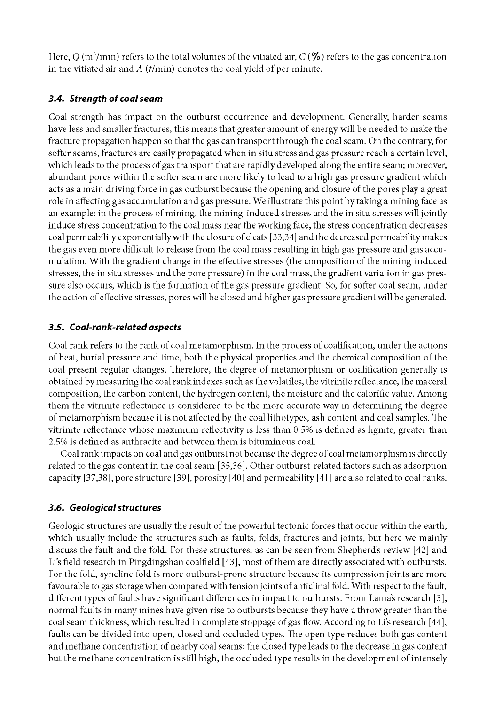Here, Q (m $^3$ /min) refers to the total volumes of the vitiated air, C ( $\%$ ) refers to the gas concentration in the vitiated air and  $A$  ( $t$ /min) denotes the coal yield of per minute.

## *3.4. Strength* **of** *coalseam*

Coal strength has impact on the outburst occurrence and development. Generally, harder seams have less and smaller fractures, this means that greater amount of energy will be needed to make the fracture propagation happen so that the gas can transport through the coal seam. On the contrary, for softer seams, fractures are easily propagated when in situ stress and gas pressure reach a certain level, which leads to the process of gas transport that are rapidly developed along the entire seam; moreover, abundant pores within the softer seam are more likely to lead to a high gas pressure gradient which acts as a main driving force in gas outburst because the opening and closure of the pores play a great role in affecting gas accumulation and gas pressure. We illustrate this point by taking a mining face as an example: in the process of mining, the mining-induced stresses and the in situ stresses will jointly induce stress concentration to the coal mass near the working face, the stress concentration decreases coal permeability exponentiallywith the dosure of deats [33,34] and the decreased permeabilitymakes the gas even more difficult to release from the coal mass resulting in high gas pressure and gas accumulation. With the gradient change in the effective stresses (the composition of the mining-induced stresses, the in situ stresses and the pore pressure) in the coal mass, the gradient variation in gas pressure also occurs, which is the formation of the gas pressure gradient. So, for softer coal seam, under the action of effective stresses, pores will be dosed and higher gas pressure gradient will be generated.

## *3.5. Coal-rank-related aspects*

Coal rank refers to the rank of coal metamorphism. In the process of coalification, under the actions of heat, burial pressure and time, both the physical properties and the chemical composition of the coal present regular changes. Therefore, the degree of metamorphism or coalification generally is obtained by measuring the coal rank indexes such as the volatiles, the vitrinite refiectance, the maceral composition, the carbon content, the hydrogen content, the moisture and the calorific value. Among them the vitrinite refiectance is considered to be the more accurate way in determining the degree of metamorphism because it is not affected by the coallithotypes, ash content and coal samples. The vitrinite refiectance whose maximum refiectivity is less than 0.5% is defined as lignite, greater than 2.5% is defined as anthracite and between them is bituminous coal.

Coal rank impacts on coal and gas outburst not because the degree of coal metamorphism is directly related to the gas content in the coal seam [35,36]. Other outburst-related factors such as adsorption capacity [37,38], pore structure [39], porosity [40] and permeability [41] are also related to coal ranks.

## *3.6. Geologicalstructures*

Geologic structures are usually the result of the powerful tectonic forces that occur within the earth, which usually indude the structures such as faults, folds, fractures and joints, but here we mainly discuss the fault and the fold. For these structures, as can be seen from Shepherd's review [42] and Li's field research in Pingdingshan coalfield [43], most of them are directly associated with outbursts. For the fold, syndine fold is more outburst-prone structure because its compression joints are more favourable to gas storage when compared with tension joints of anticlinal fold. With respect to the fault, different types of faults have significant differences in impact to outbursts. From Lama's research [3], normal faults in many mines have given rise to outbursts because they have a throw greater than the coal seam thickness, which resulted in complete stoppage of gas fiow. According to Li's research [44], faults can be divided into open, dosed and ocduded types. The open type reduces both gas content and methane concentration of nearby coal seams; the closed type leads to the decrease in gas content but the methane concentration is still high; the occluded type results in the development of intensely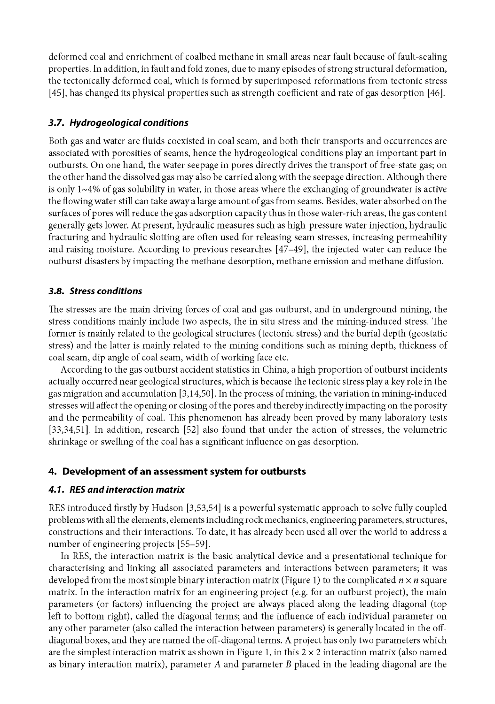deformed coal and enrichment of coalbed methane in small areas near fault because offault-sealing properties. In addition, in fault and fold zones, due to many episodes of strong structural deformation, the tectonically deformed coal, which is formed by superimposed reformations from tectonic stress [45], has changed its physical properties such as strength coefficient and rate of gas desorption [46].

## *3.7. Hydrogeological conditions*

Both gas and water are fluids coexisted in coal seam, and both their transports and occurrences are associated with porosities of seams, hence the hydrogeological conditions play an important part in outbursts. On one hand, the water seepage in pores directly drives the transport of free-state gas; on the other hand the dissolved gas may also be carried along with the seepage direction. Although there is only  $1~4%$  of gas solubility in water, in those areas where the exchanging of groundwater is active the flowing water still can take awaya large amount ofgas fram seams. Besides, water absorbed on the surfaces of pores will reduce the gas adsorption capacitythus in those water-rich areas, the gas content generally gets lower. At present, hydraulic measures such as high-pressure water injection, hydraulic fracturing and hydraulic slotting are often used for releasing seam stresses, increasing permeability and raising moisture. According to previous researches [47-49], the injected water can reduce the outburst disasters by impacting the methane desorption, methane emission and methane diffusion.

### *3.8. Stress conditions*

The stresses are the main driving forces of coal and gas outburst, and in underground mining, the stress conditions mainly indude two aspects, the in situ stress and the mining-induced stress. The former is mainly related to the geological structures (tectonic stress) and the burial depth (geostatic stress) and the latter is mainly related to the mining conditions such as mining depth, thickness of coal seam, dip angle of coal seam, width of working face etc.

According to the gas outburst accident statistics in China, a high proportion of outburst incidents actually occurred near geological structures, which is because the tectonic stress playa key role in the gas migration and accumulation  $[3,14,50]$ . In the process of mining, the variation in mining-induced stresses will affect the opening or closing of the pores and thereby indirectly impacting on the porosity and the permeability of coal. This phenomenon has already been proved by many laboratory tests [33,34,51]. In addition, research [52] also found that under the action of stresses, the volumetric shrinkage or swelling of the coal has a significant influence on gas desorption.

### **4. Development of an assessment system for outbursts**

### *4.1. RES and interaction matrix*

RES introduced firstly by Hudson [3,53,54] is a powerful systematic approach to solve fully coupled prablems with all the elements, elements induding rock mechanics, engineering parameters, structures, constructions and their interactions. To date, it has already been used all over the world to address a number of engineering projects [55-59].

In RES, the interaction matrix is the basic analytical device and a presentational technique for characterising and linking all associated parameters and interactions between parameters; it was developed from the most simple binary interaction matrix (Figure 1) to the complicated  $n \times n$  square matrix. In the interaction matrix for an engineering project (e.g. for an outburst project), the main parameters (or factors) influencing the project are always placed along the leading diagonal (top left to bottom right), called the diagonal terms; and the influence of each individual parameter on any other parameter (also called the interaction between parameters) is generally located in the offdiagonal boxes, and they are named the off-diagonal terms. A project has only two parameters which are the simplest interaction matrix as shown in Figure 1, in this  $2 \times 2$  interaction matrix (also named as binary interaction matrix), parameter A and parameter B placed in the leading diagonal are the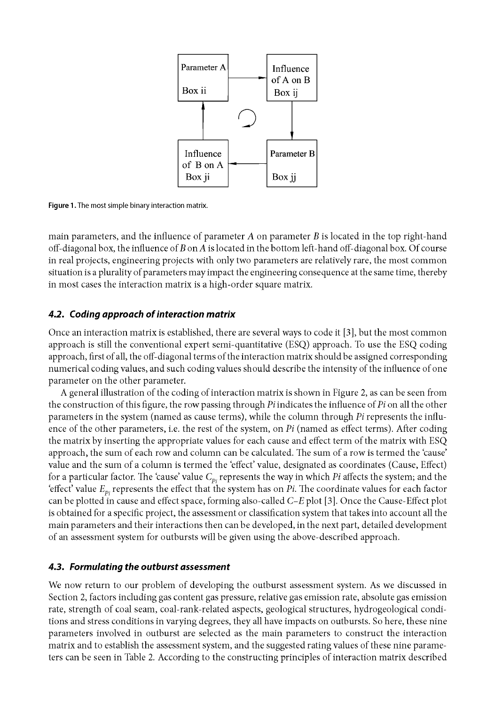

**Figure** 1. The most simple binary interaction matrix.

main parameters, and the influence of parameter A on parameter B is located in the top right-hand off-diagonal box, the influence of*B onA* is located in the bottom left-hand off-diagonal box. Of course in real projects, engineering projects with only two parameters are relatively rare, the most common situation is a plurality of parameters may impact the engineering consequence at the same time, thereby in most cases the interaction matrix is a high-order square matrix.

## *4.2. Coding approach* **of***interaction matrix*

Once an interaction matrix is established, there are several ways to code it [3], but the most common approach is still the conventional expert semi-quantitative (ESQ) approach. Io use the ESQ coding approach, first of all, the off-diagonal terms of the interaction matrix should be assigned corresponding numerical coding values, and such coding values should describe the intensity of the influence of one parameter on the other parameter.

A general illustration of the coding of interaction matrix is shown in Figure 2, as can be seen from the construction of this figure, the row passing through *Pi* indicates the influence of *Pi* on all the other parameters in the system (named as cause terms), while the column through *Pi* represents the influence of the other parameters, i.e. the rest of the system, on *Pi* (named as effect terms). After coding the matrix by inserting the appropriate values for each cause and effect term of the matrix with ESQ approach, the sum of each row and column can be calculated. The sum of a row is termed the 'cause' value and the sum of a column is termed the 'effect' value, designated as coordinates (Cause, Effect) for a particular factor. The 'cause' value *Cpi* represents the way in which *Pi* affects the system; and the 'effect' value  $E_{p_i}$  represents the effect that the system has on *Pi*. The coordinate values for each factor can be plotted in cause and effect space, forming also-caHed *C-E* plot [3]. Once the Cause-Effect plot is obtained for a specific project, the assessment or classification system that takes into account all the main parameters and their interactions then can be developed, in the next part, detailed development of an assessment system for outbursts will be given using the above-described approach.

### *4.3. Formulating the outburst assessment*

We now return to our problem of developing the outburst assessment system. As we discussed in Section 2, factors including gas content gas pressure, relative gas emission rate, absolute gas emission rate, strength of coal seam, coal-rank-related aspects, geological structures, hydrogeological conditions and stress conditions in varying degrees, they all have impacts on outbursts. So here, these nine parameters involved in outburst are selected as the main parameters to construct the interaction matrix and to establish the assessment system, and the suggested rating values of these nine parameters can be seen in Table 2. According to the constructing principles of interaction matrix described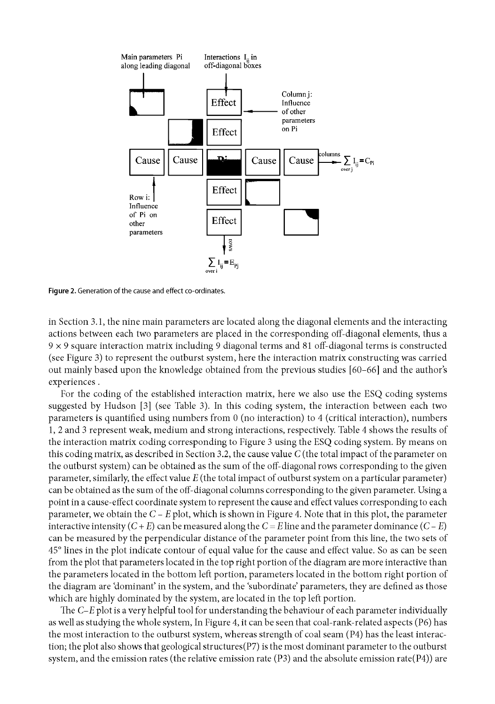

Figure 2. Generation of the cause and effect co-ordinates.

in Section 3.1, the nine main parameters are located along the diagonal elements and the interacting actions between each two parameters are placed in the corresponding off-diagonal elements, thus a 9 x 9 square interaction matrix including 9 diagonal terms and 81 off-diagonal terms is constructed (see Figure 3) to represent the outburst system, here the interaction matrix constructing was carried out mainly based upon the knowledge obtained from the previous studies [60-66] and the author's experiences .

For the coding of the established interaction matrix, here we also use the ESQ coding systems suggested by Hudson [3] (see Table 3). In this coding system, the interaction between each two parameters is quantified using numbers from O(no interaction) to 4 (critical interaction), numbers 1,2 and 3 represent weak, medium and strang interactions, respectively. Table 4 shows the results of the interaction matrix coding corresponding to Figure 3 using the ESQ coding system. By means on this coding matrix, as described in Section 3.2, the cause value  $C$  (the total impact of the parameter on the outburst system) can be obtained as the sum of the off-diagonal rows corresponding to the given parameter, similarly, the effect value  $E$  (the total impact of outburst system on a particular parameter) can be obtained as the sum of the off-diagonal columns corresponding to the given parameter. Using a point in a cause-effect coordinate system to represent the cause and effect values corresponding to each parameter, we obtain the  $C - E$  plot, which is shown in Figure 4. Note that in this plot, the parameter interactive intensity  $(C + E)$  can be measured along the  $C = E$  line and the parameter dominance  $(C - E)$ can be measured by the perpendicular distance of the parameter point from this line, the two sets of 45° lines in the plot indicate contour of equal value for the cause and effect value. So as can be seen from the plot that parameters located in the top right portion of the diagram are more interactive than the parameters located in the bottom left portion, parameters located in the bottom right portion of the diagram are 'dominant' in the system, and the 'subordinate' parameters, they are defined as those which are highly dominated by the system, are located in the top left portion.

The  $C-E$  plot is a very helpful tool for understanding the behaviour of each parameter individually as well as studying the whole system, In Figure 4, it can be seen that coal-rank-related aspects (P6) has the most interaction to the outburst system, whereas strength of coal seam (P4) has the least interaction; the plot also shows that geological structures(P7) is the most dominant parameter to the outburst system, and the emission rates (the relative emission rate (P3) and the absolute emission rate(P4)) are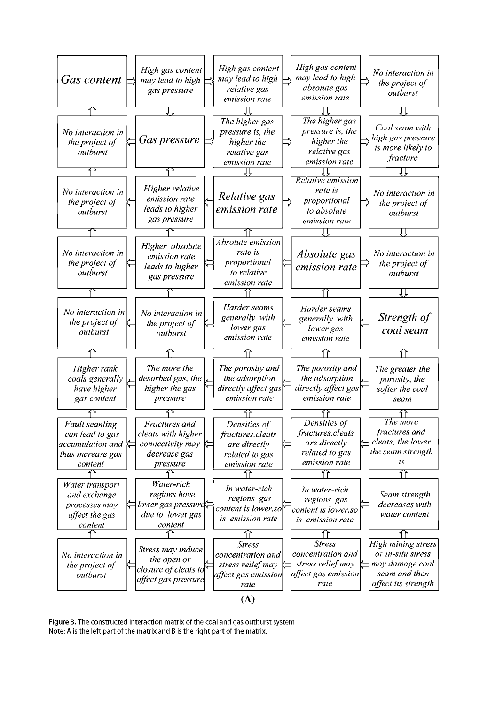

Figure 3. The constructed interaction matrix of the coal and gas outburst system. Note: A is the left part of the matrix and Bis the right part of the matrix.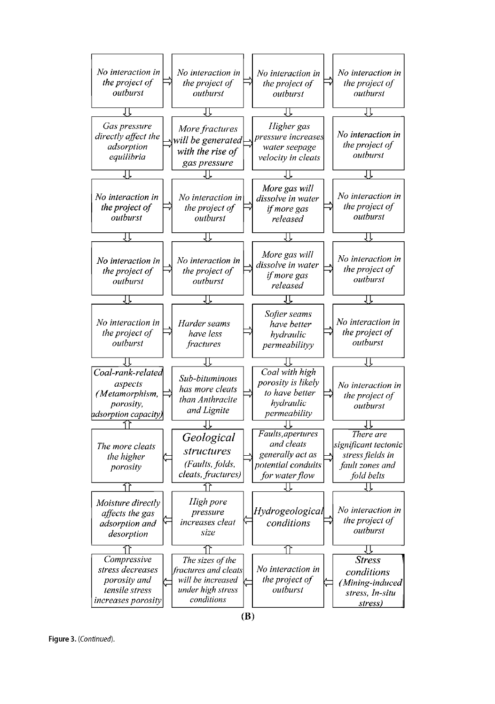

**Figure** 3. (Continued),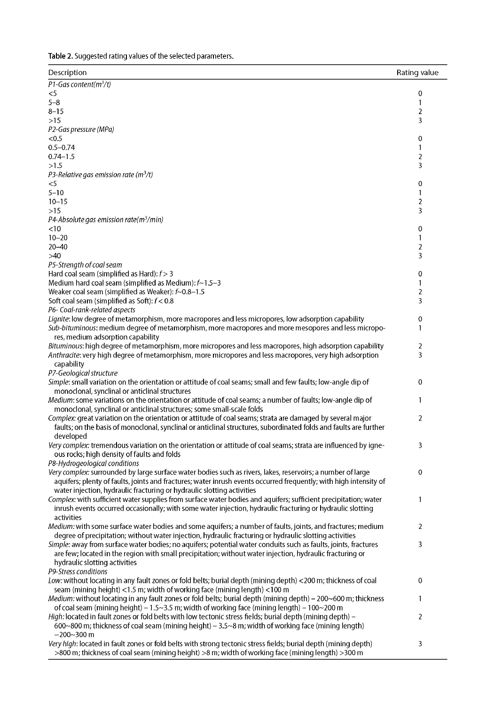Table 2. Suggested rating values of the selected parameters.

| Description                                                                                                       | Rating value |
|-------------------------------------------------------------------------------------------------------------------|--------------|
| P1-Gas content( $m^3/t$ )                                                                                         |              |
| <5                                                                                                                | 0            |
| $5 - 8$                                                                                                           | 1            |
| $8 - 15$                                                                                                          | 2            |
| >15                                                                                                               | 3            |
| P2-Gas pressure (MPa)                                                                                             |              |
| ${<}0.5$                                                                                                          | 0            |
| $0.5 - 0.74$                                                                                                      | 1            |
| $0.74 - 1.5$                                                                                                      | 2            |
| >1.5                                                                                                              | 3            |
| P3-Relative gas emission rate ( $m^3/t$ )                                                                         |              |
| <5                                                                                                                | 0            |
| $5 - 10$                                                                                                          | 1            |
| $10 - 15$                                                                                                         | 2            |
| >15                                                                                                               | 3            |
| P4-Absolute gas emission rate(m <sup>3</sup> /min)                                                                |              |
| $<$ 10                                                                                                            | 0            |
| $10 - 20$                                                                                                         | 1            |
| $20 - 40$                                                                                                         | 2            |
| >40                                                                                                               | 3            |
| P5-Strength of coal seam                                                                                          |              |
| Hard coal seam (simplified as Hard): $f > 3$                                                                      | 0            |
| Medium hard coal seam (simplified as Medium): $f \sim 1.5-3$                                                      | 1            |
| Weaker coal seam (simplified as Weaker): f~0.8-1.5                                                                | 2            |
| Soft coal seam (simplified as Soft): $f < 0.8$                                                                    | 3            |
| P6- Coal-rank-related aspects                                                                                     |              |
| Lignite: low degree of metamorphism, more macropores and less micropores, low adsorption capability               | 0            |
| Sub-bituminous: medium degree of metamorphism, more macropores and more mesopores and less micropo-               | 1            |
| res, medium adsorption capability                                                                                 |              |
| Bituminous: high degree of metamorphism, more micropores and less macropores, high adsorption capability          | 2            |
| Anthracite: very high degree of metamorphism, more micropores and less macropores, very high adsorption           | 3            |
| capability                                                                                                        |              |
| P7-Geological structure                                                                                           |              |
| Simple: small variation on the orientation or attitude of coal seams; small and few faults; low-angle dip of      | 0            |
| monoclonal, synclinal or anticlinal structures                                                                    |              |
| Medium: some variations on the orientation or attitude of coal seams; a number of faults; low-angle dip of        | 1            |
| monoclonal, synclinal or anticlinal structures; some small-scale folds                                            |              |
| Complex: great variation on the orientation or attitude of coal seams; strata are damaged by several major        | 2            |
| faults; on the basis of monoclonal, synclinal or anticlinal structures, subordinated folds and faults are further |              |
| developed                                                                                                         |              |
| Very complex: tremendous variation on the orientation or attitude of coal seams; strata are influenced by igne-   | 3            |
| ous rocks; high density of faults and folds                                                                       |              |
| P8-Hydrogeological conditions                                                                                     |              |
| Very complex: surrounded by large surface water bodies such as rivers, lakes, reservoirs; a number of large       | 0            |
| aquifers; plenty of faults, joints and fractures; water inrush events occurred frequently; with high intensity of |              |
| water injection, hydraulic fracturing or hydraulic slotting activities                                            |              |
| Complex: with sufficient water supplies from surface water bodies and aquifers; sufficient precipitation; water   | 1            |
| inrush events occurred occasionally; with some water injection, hydraulic fracturing or hydraulic slotting        |              |
| activities                                                                                                        |              |
| Medium: with some surface water bodies and some aquifers; a number of faults, joints, and fractures; medium       | 2            |
| degree of precipitation; without water injection, hydraulic fracturing or hydraulic slotting activities           |              |
| Simple: away from surface water bodies; no aquifers; potential water conduits such as faults, joints, fractures   | 3            |
| are few; located in the region with small precipitation; without water injection, hydraulic fracturing or         |              |
| hydraulic slotting activities                                                                                     |              |
| P9-Stress conditions                                                                                              |              |
| Low: without locating in any fault zones or fold belts; burial depth (mining depth) <200 m; thickness of coal     | 0            |
| seam (mining height) <1.5 m; width of working face (mining length) <100 m                                         |              |
| Medium: without locating in any fault zones or fold belts; burial depth (mining depth) – 200~600 m; thickness     | 1            |
| of coal seam (mining height) $-1.5$ $\sim$ 3.5 m; width of working face (mining length) $-100$ $\sim$ 200 m       |              |
| High: located in fault zones or fold belts with low tectonic stress fields; burial depth (mining depth) –         | 2            |
| $600\sim800$ m; thickness of coal seam (mining height) – 3.5 $\sim8$ m; width of working face (mining length)     |              |
| $-200 - 300$ m                                                                                                    |              |
| Very high: located in fault zones or fold belts with strong tectonic stress fields; burial depth (mining depth)   | 3            |
| >800 m; thickness of coal seam (mining height) >8 m; width of working face (mining length) >300 m                 |              |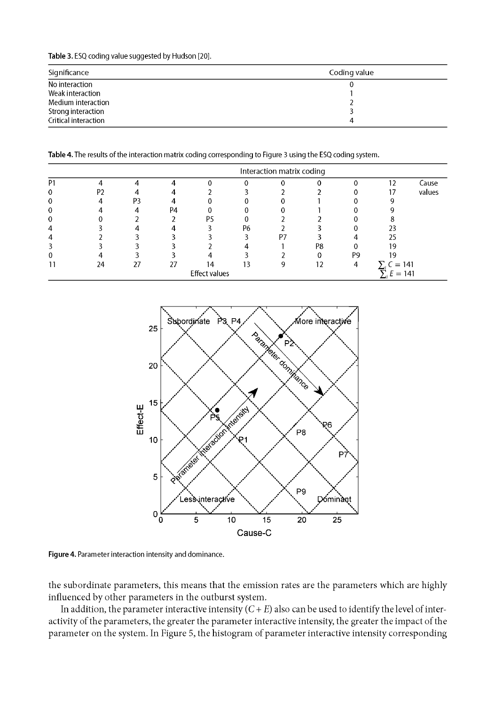**Table** 3. ESQ coding value suggested by Hudson [20].

| Significance         | Coding value |
|----------------------|--------------|
| No interaction       |              |
| Weak interaction     |              |
| Medium interaction   |              |
| Strong interaction   |              |
| Critical interaction | 4            |

**Table** 4. The results ofthe interaction matrix coding corresponding to Figure 3 using the ESQ coding system.

|                      | Interaction matrix coding |                |                |    |                |    |         |                |         |        |  |  |  |  |
|----------------------|---------------------------|----------------|----------------|----|----------------|----|---------|----------------|---------|--------|--|--|--|--|
| P1                   |                           |                |                |    |                |    |         | Ω              | 12      | Cause  |  |  |  |  |
| $\Omega$             | P <sub>2</sub>            |                |                |    |                |    |         | O              | 17      | values |  |  |  |  |
| 0                    |                           | P <sub>3</sub> |                |    |                |    |         |                |         |        |  |  |  |  |
| 0                    |                           |                | P <sub>4</sub> |    |                |    |         |                |         |        |  |  |  |  |
| 0                    |                           |                |                | P5 | Ω              |    |         |                |         |        |  |  |  |  |
| 4                    |                           |                |                |    | P <sub>6</sub> |    |         | Λ              | 23      |        |  |  |  |  |
| 4                    |                           |                |                |    |                | P7 |         |                | 25      |        |  |  |  |  |
|                      |                           |                |                |    |                |    | P8      | n              | 19      |        |  |  |  |  |
| 0                    |                           |                |                |    |                |    |         | P <sub>9</sub> | 19      |        |  |  |  |  |
|                      | 24                        |                | 27             | 14 | 13             | 9  | 12      | 4              | $= 141$ |        |  |  |  |  |
| <b>Effect values</b> |                           |                |                |    |                |    | $= 141$ |                |         |        |  |  |  |  |



Figure 4. Parameter interaction intensity and dominance.

the subordinate parameters, this means that the emission rates are the parameters which are highly influenced by other parameters in the outburst system.

In addition, the parameter interactive intensity  $(C + E)$  also can be used to identify the level of interactivity of the parameters, the greater the parameter interactive intensity, the greater the impact of the parameter on the system. In Figure 5, the histogram of parameter interactive intensity corresponding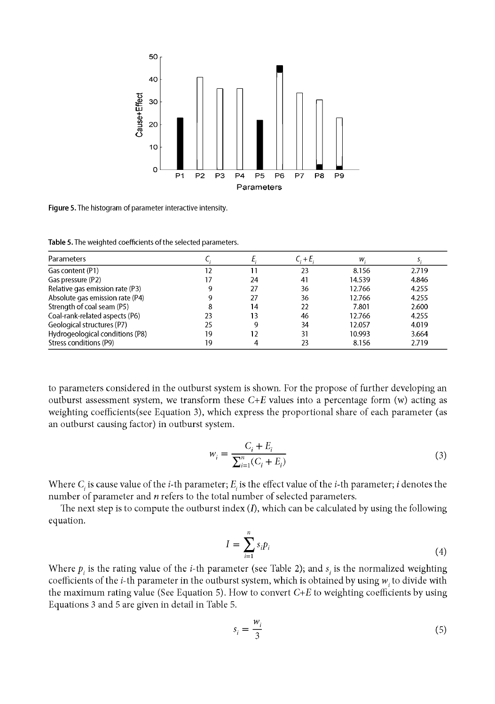

**Figure** 5. The histogram of parameter interactive intensity.

Table 5. The weighted coefficients of the selected parameters.

| Parameters                      |    |    | $C_1 + E_2$ | W.     |       |
|---------------------------------|----|----|-------------|--------|-------|
| Gas content (P1)                | 12 | 11 | 23          | 8.156  | 2.719 |
| Gas pressure (P2)               | 17 | 24 | 41          | 14.539 | 4.846 |
| Relative gas emission rate (P3) | 9  | 27 | 36          | 12.766 | 4.255 |
| Absolute gas emission rate (P4) | 9  | 27 | 36          | 12.766 | 4.255 |
| Strength of coal seam (P5)      | 8  | 14 | 22          | 7.801  | 2.600 |
| Coal-rank-related aspects (P6)  | 23 | 13 | 46          | 12.766 | 4.255 |
| Geological structures (P7)      | 25 | q  | 34          | 12.057 | 4.019 |
| Hydrogeological conditions (P8) | 19 | 12 | 31          | 10.993 | 3.664 |
| Stress conditions (P9)          | 19 | 4  | 23          | 8.156  | 2.719 |

to parameters considered in the outburst system is shown. For the propose of further developing an outburst assessment system, we transform these *C+E* values into a percentage form (w) acting as weighting coefficients(see Equation 3), which express the proportional share of each parameter (as an outburst causing factor) in outburst system.

$$
w_i = \frac{C_i + E_i}{\sum_{i=1}^{n} (C_i + E_i)}
$$
(3)

Where  $C_i$  is cause value of the *i*-th parameter;  $E_i$  is the effect value of the *i*-th parameter; *i* denotes the number of parameter and *n* refers to the total number of selected parameters.

The next step is to compute the outburst index  $(I)$ , which can be calculated by using the following equation.

$$
I = \sum_{i=1}^{n} s_i p_i \tag{4}
$$

Where  $p_i$  is the rating value of the *i*-th parameter (see Table 2); and  $s_i$  is the normalized weighting coefficients of the *i*-th parameter in the outburst system, which is obtained by using  $w_i$  to divide with the maximum rating value (See Equation 5). How to convert *C+E* to weighting coefficients by using Equations 3 and 5 are given in detail in Table 5.

$$
s_i = \frac{w_i}{3} \tag{5}
$$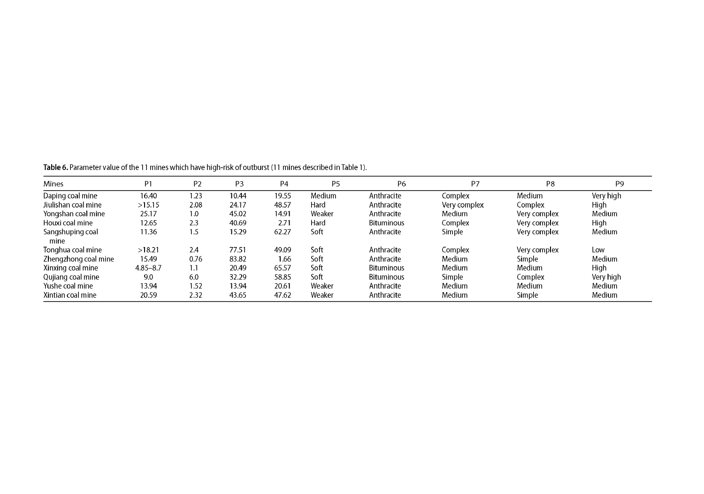| <b>Mines</b>         | P1           | P <sub>2</sub> | P3    | P <sub>4</sub> | P <sub>5</sub> | P6                | P7           | P8           | P <sub>9</sub> |
|----------------------|--------------|----------------|-------|----------------|----------------|-------------------|--------------|--------------|----------------|
| Daping coal mine     | 16.40        | 1.23           | 10.44 | 19.55          | Medium         | Anthracite        | Complex      | Medium       | Very high      |
| Jiulishan coal mine  | >15.15       | 2.08           | 24.17 | 48.57          | Hard           | Anthracite        | Very complex | Complex      | High           |
| Yongshan coal mine   | 25.17        | 1.0            | 45.02 | 14.91          | Weaker         | Anthracite        | Medium       | Very complex | Medium         |
| Houxi coal mine      | 12.65        | 2.3            | 40.69 | 2.71           | Hard           | <b>Bituminous</b> | Complex      | Very complex | High           |
| Sangshuping coal     | 11.36        | 1.5            | 15.29 | 62.27          | Soft           | Anthracite        | Simple       | Very complex | Medium         |
| mine                 |              |                |       |                |                |                   |              |              |                |
| Tonghua coal mine    | >18.21       | 2.4            | 77.51 | 49.09          | Soft           | Anthracite        | Complex      | Very complex | Low            |
| Zhengzhong coal mine | 15.49        | 0.76           | 83.82 | 1.66           | Soft           | Anthracite        | Medium       | Simple       | Medium         |
| Xinxing coal mine    | $4.85 - 8.7$ | 1. I           | 20.49 | 65.57          | Soft           | <b>Bituminous</b> | Medium       | Medium       | High           |
| Qujiang coal mine    | 9.0          | 6.0            | 32.29 | 58.85          | Soft           | <b>Bituminous</b> | Simple       | Complex      | Very high      |
| Yushe coal mine      | 13.94        | 1.52           | 13.94 | 20.61          | Weaker         | Anthracite        | Medium       | Medium       | Medium         |
| Xintian coal mine    | 20.59        | 2.32           | 43.65 | 47.62          | Weaker         | Anthracite        | Medium       | Simple       | Medium         |

Table 6. Parameter value of the 11 mines which have high-risk of outburst (11 mines described in Table 1).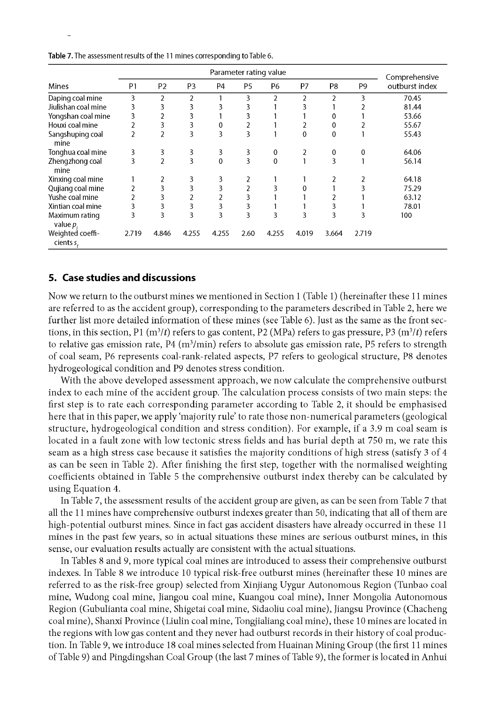|                               |                |               |                |       |      | Parameter rating value |       |                |                | Comprehensive  |
|-------------------------------|----------------|---------------|----------------|-------|------|------------------------|-------|----------------|----------------|----------------|
| Mines                         | P <sub>1</sub> | P2            | P <sub>3</sub> | P4    | P5   | P6                     | P7    | P <sub>8</sub> | P <sub>9</sub> | outburst index |
| Daping coal mine              | 3              | 2             | 2              |       | 3    | $\overline{2}$         | 2     | $\overline{2}$ | 3              | 70.45          |
| Jiulishan coal mine           | 3              | 3             | 3              | 3     | 3    | 1                      | 3     |                |                | 81.44          |
| Yongshan coal mine            | 3              | 2             | 3              |       | 3    |                        |       | 0              |                | 53.66          |
| Houxi coal mine               | 2              | 3             | 3              | 0     | 2    |                        | 2     | 0              |                | 55.67          |
| Sangshuping coal<br>mine      | 2              | 2             | 3              | 3     | 3    |                        | 0     | $\mathbf 0$    |                | 55.43          |
| Tonghua coal mine             | 3              | 3             | 3              | 3     | 3    | $\mathbf 0$            | 2     | 0              | 0              | 64.06          |
| Zhengzhong coal<br>mine       | 3              | $\mathcal{P}$ | 3              | 0     | 3    | $\mathbf 0$            | 1     | 3              |                | 56.14          |
| Xinxing coal mine             |                | 2             | 3              | 3     | 2    |                        |       |                |                | 64.18          |
| Qujiang coal mine             | 2              | 3             | 3              | 3     | 2    | 3                      | 0     |                | 3              | 75.29          |
| Yushe coal mine               | 2              | 3             | 2              | 2     | 3    |                        |       |                |                | 63.12          |
| Xintian coal mine             | 3              | 3             | 3              | 3     | 3    |                        |       | 3              |                | 78.01          |
| Maximum rating<br>value $p_i$ | 3              | 3             | 3              | 3     | 3    | 3                      | 3     | 3              | 3              | 100            |
| Weighted coeffi-<br>cients s, | 2.719          | 4.846         | 4.255          | 4.255 | 2.60 | 4.255                  | 4.019 | 3.664          | 2.719          |                |

Table 7. The assessment results of the 11 mines corresponding to Table 6.

#### **s. Case studies and discussions**

Now we return to the outburst mines we mentioned in Section 1 (Table 1) (hereinafter these 11 mines are referred to as the accident group), corresponding to the parameters described in Table 2, here we further list more detailed information of these mines (see Table 6). Just as the same as the front sections, in this section, P1 (m<sup>3</sup>/t) refers to gas content, P2 (MPa) refers to gas pressure, P3 (m<sup>3</sup>/t) refers to relative gas emission rate, P4 (m3/min) refers to absolute gas emission rate, P5 refers to strength of coal seam, P6 represents coal-rank-related aspects, P7 refers to geological structure, P8 denotes hydrogeological condition and P9 denotes stress condition.

With the aboye developed assessment approach, we now calculate the comprehensive outburst index to each mine of the accident group. The calculation process consists of two main steps: the first step is to rate each corresponding parameter according to Table 2, it should be emphasised here that in this paper, we apply 'majority rule' to rate those non-numerical parameters (geological structure, hydrogeological condition and stress condition). For example, if a 3.9 m coal seam is located in a fault zone with low tectonic stress fields and has burial depth at 750 m, we rate this seam as a high stress case because it satisfies the majority conditions of high stress (satisfy 3 of 4 as can be seen in Table 2). After finishing the first step, together with the normalised weighting coefficients obtained in Table 5 the comprehensive outburst index thereby can be calculated by using Equation 4.

In Table 7, the assessment results of the accident group are given, as can be seen from Table 7 that all the 11 mines have comprehensive outburst indexes greater than 50, indicating that all of them are high-potential outburst mines. Since in fact gas accident disasters have already occurred in these 11 mines in the past few years, so in actual situations these mines are serious outburst mines, in this sense, our evaluation results actually are consistent with the actual situations.

In Tables 8 and 9, more typical coal mines are introduced to assess their comprehensive outburst indexes. In Table 8 we introduce 10 typical risk-free outburst mines (hereinafter these 10 mines are referred to as the risk-free group) selected from Xinjiang Uygur Autonomous Region (Tunbao coal mine, Wudong coal mine, Jiangou coal mine, Kuangou coal mine), Inner Mongolia Autonomous Region (Gubulianta coal mine, Shigetai coal mine, Sidaoliu coal mine), Jiangsu Province (Chacheng coal mine), Shanxi Province (Liulin coal mine, Tongjialiang coal mine), these 10 mines are located in the regions with low gas content and they never had outburst records in their history of coal production. In Table 9, we introduce 18 coal mines selected from Huainan Mining Group (the first 11 mines ofTable 9) and Pingdingshan Coal Group (the last 7 mines ofTable 9), the former is located in Anhui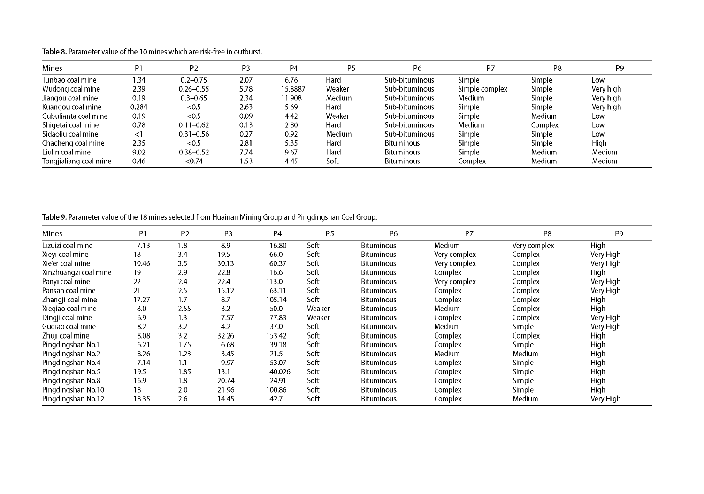| <b>Mines</b>           | P1    | P <sub>2</sub> | P <sub>3</sub> | P <sub>4</sub> | P <sub>5</sub> | P <sub>6</sub>    | P7             | P8      | P <sub>9</sub> |
|------------------------|-------|----------------|----------------|----------------|----------------|-------------------|----------------|---------|----------------|
| Tunbao coal mine       | .34   | $0.2 - 0.75$   | 2.07           | 6.76           | Hard           | Sub-bituminous    | Simple         | Simple  | Low            |
| Wudong coal mine       | 2.39  | $0.26 - 0.55$  | 5.78           | 15.8887        | Weaker         | Sub-bituminous    | Simple complex | Simple  | Very high      |
| Jiangou coal mine      | 0.19  | $0.3 - 0.65$   | 2.34           | 11.908         | Medium         | Sub-bituminous    | Medium         | Simple  | Very high      |
| Kuangou coal mine      | 0.284 | < 0.5          | 2.63           | 5.69           | Hard           | Sub-bituminous    | Simple         | Simple  | Very high      |
| Gubulianta coal mine   | 0.19  | < 0.5          | 0.09           | 4.42           | Weaker         | Sub-bituminous    | Simple         | Medium  | Low            |
| Shigetai coal mine     | 0.78  | $0.11 - 0.62$  | 0.13           | 2.80           | Hard           | Sub-bituminous    | Medium         | Complex | Low            |
| Sidaoliu coal mine     | <1    | $0.31 - 0.56$  | 0.27           | 0.92           | Medium         | Sub-bituminous    | Simple         | Simple  | Low            |
| Chacheng coal mine     | 2.35  | < 0.5          | 2.81           | 5.35           | Hard           | <b>Bituminous</b> | Simple         | Simple  | High           |
| Liulin coal mine       | 9.02  | $0.38 - 0.52$  | 7.74           | 9.67           | Hard           | <b>Bituminous</b> | Simple         | Medium  | Medium         |
| Tongjialiang coal mine | 0.46  | < 0.74         | 1.53           | 4.45           | Soft           | <b>Bituminous</b> | Complex        | Medium  | Medium         |

**Table** 8. Parameter value ofthe 10 mines which are risk-free in outburst.

Table 9. Parameter value of the 18 mines selected from Huainan Mining Group and Pingdingshan Coal Group.

| Mines                 | P <sub>1</sub> | P <sub>2</sub> | P <sub>3</sub> | P <sub>4</sub> | P <sub>5</sub> | P <sub>6</sub>    | P7           | P <sub>8</sub> | P <sub>9</sub> |
|-----------------------|----------------|----------------|----------------|----------------|----------------|-------------------|--------------|----------------|----------------|
| Lizuizi coal mine     | 7.13           | 1.8            | 8.9            | 16.80          | Soft           | <b>Bituminous</b> | Medium       | Very complex   | High           |
| Xieyi coal mine       | 18             | 3.4            | 19.5           | 66.0           | Soft           | <b>Bituminous</b> | Very complex | Complex        | Very High      |
| Xie'er coal mine      | 10.46          | 3.5            | 30.13          | 60.37          | Soft           | <b>Bituminous</b> | Very complex | Complex        | Very High      |
| Xinzhuangzi coal mine | 19             | 2.9            | 22.8           | 116.6          | Soft           | <b>Bituminous</b> | Complex      | Complex        | High           |
| Panyi coal mine       | 22             | 2.4            | 22.4           | 113.0          | Soft           | <b>Bituminous</b> | Very complex | Complex        | Very High      |
| Pansan coal mine      | 21             | 2.5            | 15.12          | 63.11          | Soft           | <b>Bituminous</b> | Complex      | Complex        | Very High      |
| Zhangji coal mine     | 17.27          | 1.7            | 8.7            | 105.14         | Soft           | <b>Bituminous</b> | Complex      | Complex        | High           |
| Xiegiao coal mine     | 8.0            | 2.55           | 3.2            | 50.0           | Weaker         | <b>Bituminous</b> | Medium       | Complex        | High           |
| Dingji coal mine      | 6.9            | 1.3            | 7.57           | 77.83          | Weaker         | <b>Bituminous</b> | Complex      | Complex        | Very High      |
| Gugiao coal mine      | 8.2            | 3.2            | 4.2            | 37.0           | Soft           | <b>Bituminous</b> | Medium       | Simple         | Very High      |
| Zhuji coal mine       | 8.08           | 3.2            | 32.26          | 153.42         | Soft           | <b>Bituminous</b> | Complex      | Complex        | High           |
| Pingdingshan No.1     | 6.21           | 1.75           | 6.68           | 39.18          | Soft           | <b>Bituminous</b> | Complex      | Simple         | High           |
| Pingdingshan No.2     | 8.26           | 1.23           | 3.45           | 21.5           | Soft           | <b>Bituminous</b> | Medium       | Medium         | High           |
| Pingdingshan No.4     | 7.14           | 1.1            | 9.97           | 53.07          | Soft           | <b>Bituminous</b> | Complex      | Simple         | High           |
| Pingdingshan No.5     | 19.5           | 1.85           | 13.1           | 40.026         | Soft           | <b>Bituminous</b> | Complex      | Simple         | High           |
| Pingdingshan No.8     | 16.9           | 1.8            | 20.74          | 24.91          | Soft           | <b>Bituminous</b> | Complex      | Simple         | High           |
| Pingdingshan No.10    | 18             | 2.0            | 21.96          | 100.86         | Soft           | <b>Bituminous</b> | Complex      | Simple         | High           |
| Pingdingshan No.12    | 18.35          | 2.6            | 14.45          | 42.7           | Soft           | <b>Bituminous</b> | Complex      | Medium         | Very High      |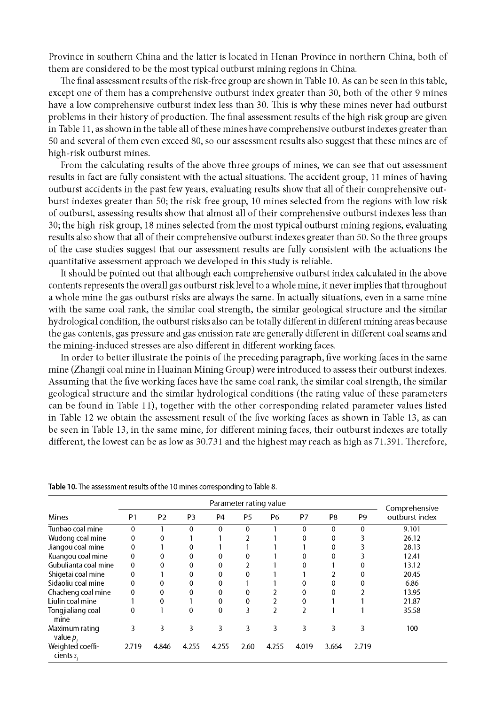Province in southern China and the latter is located in Henan Province in northern China, both of them are considered to be the most typical outburst mining regions in China.

The final assessment results of the risk-free group are shown in Table 10. As can be seen in this table, except one of them has a comprehensive outburst index greater than 30, both of the other 9 mines have a low comprehensive outburst index less than 30. This is why these mines never had outburst problems in their history of production. The final assessment results of the high risk group are given in Table 11, as shown in the table all of these mines have comprehensive outburst indexes greater than 50 and several ofthem even exceed 80, so our assessment results also suggest that these mines are of high-risk outburst mines.

From the calculating results of the aboye three groups of mines, we can see that out assessment results in fact are fully consistent with the actual situations. The accident group, 11 mines of having outburst accidents in the past few years, evaluating results show that all oftheir comprehensive outburst indexes greater than 50; the risk-free group, 10 mines selected from the regions with low risk of outburst, assessing results show that almost all of their comprehensive outburst indexes less than 30; the high-risk group, 18 mines selected fram the most typical outburst mining regions, evaluating results also show that all of their comprehensive outburst indexes greater than 50. So the three groups of the case studies suggest that our assessment results are fully consistent with the actuations the quantitative assessment approach we developed in this study is reliable.

Itshould be pointed out that although each comprehensive outburst index calculated in the aboye contents represents the overall gas outburst risk level to a whole mine, it never implies that throughout a whole mine the gas outburst risks are always the same. In actually situations, even in a same mine with the same coal rank, the similar coal strength, the similar geological structure and the similar hydrological condition, the outburst risks also can be totally different in different mining areas because the gas contents, gas pressure and gas emission rate are generally different in different coal seams and the mining-induced stresses are also different in different working faces.

In order to better illustrate the points of the preceding paragraph, five working faces in the same mine (Zhangji coal mine in Huainan Mining Group) were introduced to assess their outburst indexes. Assuming that the five working faces have the same coal rank, the similar coal strength, the similar geological structure and the similar hydrological conditions (the rating value of these parameters can be found in Table 11), together with the other corresponding related parameter values listed in Table 12 we obtain the assessment result of the five working faces as shown in Table 13, as can be seen in Table 13, in the same mine, for different mining faces, their outburst indexes are totally different, the lowest can be as low as 30.731 and the highest may reach as high as 71.391. Therefore,

|                               |                | Comprehensive  |                |                |          |                |       |       |          |                |
|-------------------------------|----------------|----------------|----------------|----------------|----------|----------------|-------|-------|----------|----------------|
| Mines                         | P <sub>1</sub> | P <sub>2</sub> | P <sub>3</sub> | P <sub>4</sub> | P5       | P <sub>6</sub> | P7    | P8    | P9       | outburst index |
| Tunbao coal mine              | $\mathbf 0$    |                | 0              | $\Omega$       | $\Omega$ |                | 0     | 0     | $\Omega$ | 9.101          |
| Wudong coal mine              | 0              | Ω              |                |                | ำ        |                | 0     | 0     | 3        | 26.12          |
| Jiangou coal mine             | 0              |                | 0              |                |          |                |       | 0     |          | 28.13          |
| Kuangou coal mine             | 0              | 0              | 0              | 0              |          |                | 0     | 0     |          | 12.41          |
| Gubulianta coal mine          | 0              | Ω              | 0              | 0              |          |                | 0     |       |          | 13.12          |
| Shigetai coal mine            | 0              |                | 0              | 0              | 0        |                |       |       |          | 20.45          |
| Sidaoliu coal mine            | 0              | 0              | 0              | 0              |          |                | 0     | 0     |          | 6.86           |
| Chacheng coal mine            | 0              | 0              | 0              | $\Omega$       | 0        |                | 0     | 0     |          | 13.95          |
| Liulin coal mine              |                | 0              |                | 0              | 0        |                | 0     |       |          | 21.87          |
| Tongjialiang coal<br>mine     | 0              |                | 0              | 0              | 3        | $\overline{2}$ | 2     |       |          | 35.58          |
| Maximum rating<br>value $p$ . | 3              | 3              | 3              | 3              | 3        | 3              | 3     | 3     | 3        | 100            |
| Weighted coeffi-<br>cients s, | 2.719          | 4.846          | 4.255          | 4.255          | 2.60     | 4.255          | 4.019 | 3.664 | 2.719    |                |

Table 10. The assessment results of the 10 mines corresponding to Table 8.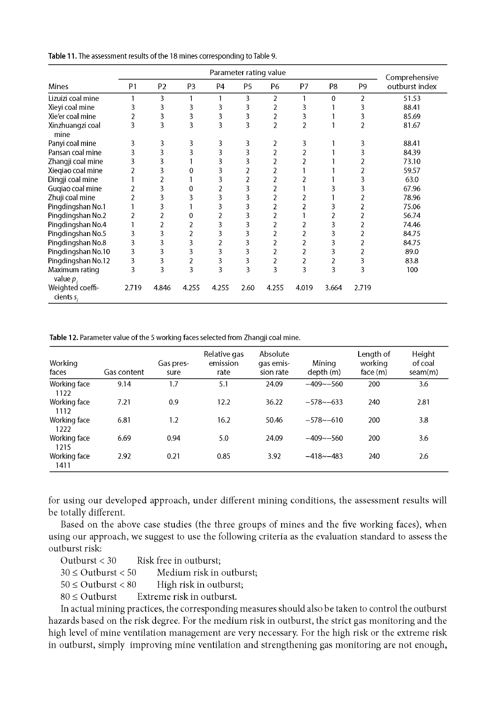|                               |                |                |                |           |                | Parameter rating value |                |       |                | Comprehensive  |
|-------------------------------|----------------|----------------|----------------|-----------|----------------|------------------------|----------------|-------|----------------|----------------|
| <b>Mines</b>                  | P <sub>1</sub> | P <sub>2</sub> | P <sub>3</sub> | <b>P4</b> | P <sub>5</sub> | P <sub>6</sub>         | P7             | P8    | P <sub>9</sub> | outburst index |
| Lizuizi coal mine             |                | 3              |                |           | 3              | 2                      |                | 0     | 2              | 51.53          |
| Xieyi coal mine               | 3              | 3              | 3              | 3         | 3              | 2                      | 3              |       | 3              | 88.41          |
| Xie'er coal mine              | $\overline{2}$ | 3              | 3              | 3         | 3              | 2                      | 3              |       | 3              | 85.69          |
| Xinzhuangzi coal<br>mine      | 3              | 3              | 3              | 3         | 3              | $\overline{a}$         | $\overline{a}$ |       | 2              | 81.67          |
| Panyi coal mine               | 3              | 3              | 3              | 3         | 3              | 2                      | 3              |       | 3              | 88.41          |
| Pansan coal mine              | 3              | 3              | 3              | 3         | 3              | 2                      | 2              |       | 3              | 84.39          |
| Zhangji coal mine             | 3              | 3              |                | 3         | 3              | $\overline{2}$         | 2              |       | 2              | 73.10          |
| Xiegiao coal mine             |                | 3              | 0              |           | 2              | 2                      |                |       | 2              | 59.57          |
| Dingji coal mine              |                | 2              |                | 3         | 2              | 2                      | 2              |       | 3              | 63.0           |
| Gugiao coal mine              |                | 3              | 0              |           | 3              | 2                      |                |       | 3              | 67.96          |
| Zhuji coal mine               |                |                | 3              | ٩         | 3              | 2                      | 2              |       | 2              | 78.96          |
| Pingdingshan No.1             |                | 3              |                | 3         | 3              | 2                      | 2              |       | 2              | 75.06          |
| Pingdingshan No.2             |                |                | 0              |           | 3              | $\overline{2}$         |                |       | 2              | 56.74          |
| Pingdingshan No.4             |                | 2              | 2              | 3         | 3              | $\overline{2}$         | 2              | 3     | 2              | 74.46          |
| Pingdingshan No.5             | 3              | 3              | 2              | 3         | 3              | 2                      | 2              | 3     | 2              | 84.75          |
| Pingdingshan No.8             | 3              | 3              | 3              | 2         | 3              | 2                      | 2              | 3     | 2              | 84.75          |
| Pingdingshan No.10            | 3              | 3              | 3              | 3         | 3              | $\overline{2}$         | 2              | 3     | $\overline{2}$ | 89.0           |
| Pingdingshan No.12            | 3              | 3              | 2              | 3         | 3              | 2                      | 2              | 2     | 3              | 83.8           |
| Maximum rating<br>value $p_i$ | 3              | 3              | 3              | 3         | 3              | 3                      | 3              | 3     | 3              | 100            |
| Weighted coeffi-<br>cients s, | 2.719          | 4.846          | 4.255          | 4.255     | 2.60           | 4.255                  | 4.019          | 3.664 | 2.719          |                |

**Table 11.** The assessment results of the 18 mines corresponding to Table 9.

Table 12. Parameter value of the 5 working faces selected from Zhangji coal mine.

| Working<br>faces     | Gas content | Gas pres-<br>sure | Relative gas<br>emission<br>rate | Absolute<br>gas emis-<br>sion rate | Mining<br>depth (m) | Length of<br>working<br>face $(m)$ | Height<br>of coal<br>seam(m) |
|----------------------|-------------|-------------------|----------------------------------|------------------------------------|---------------------|------------------------------------|------------------------------|
| Working face<br>1122 | 9.14        | 1.7               | 5.1                              | 24.09                              | $-409 - 560$        | 200                                | 3.6                          |
| Working face<br>1112 | 7.21        | 0.9               | 12.2                             | 36.22                              | $-578 - -633$       | 240                                | 2.81                         |
| Working face<br>1222 | 6.81        | 1.2               | 16.2                             | 50.46                              | $-578 - 610$        | 200                                | 3.8                          |
| Working face<br>1215 | 6.69        | 0.94              | 5.0                              | 24.09                              | $-409 - 560$        | 200                                | 3.6                          |
| Working face<br>1411 | 2.92        | 0.21              | 0.85                             | 3.92                               | $-418 - -483$       | 240                                | 2.6                          |

for using our developed approach, under different mining conditions, the assessment results will be totally different.

Based on the aboye case studies (the three groups of mines and the five working faces), when using our approach, we suggest to use the following criteria as the evaluation standard to assess the outburst risk:

Outburst < 30 Risk free in outburst;

 $30 \leq$  Outburst < 50 Medium risk in outburst;

 $50 \leq$  Outburst < 80 High risk in outburst;

 $80 \leq$  Outburst Extreme risk in outburst.

In actual mining practices, the corresponding measures should also be taken to control the outburst hazards based on the risk degree. For the medium risk in outburst, the strict gas monitoring and the high level of mine ventilation management are very necessary. For the high risk or the extreme risk in outburst, simply improving mine ventilation and strengthening gas monitoring are not enough,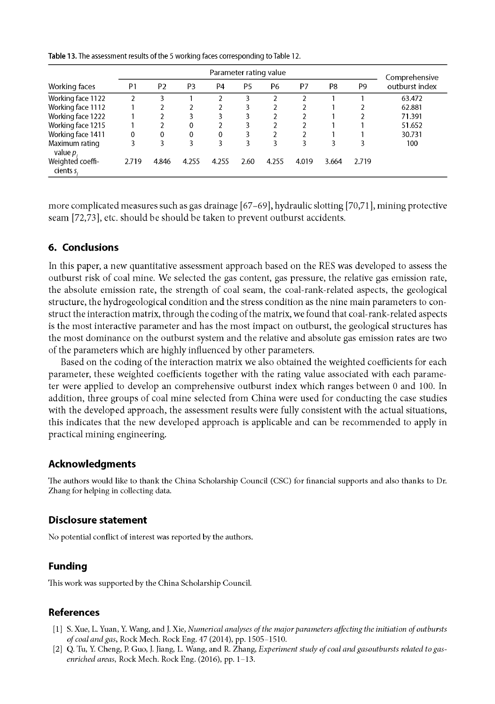**Table 13.** The assessment results of the 5 working faces corresponding to Table 12.

|                                  | Parameter rating value |                |                |                |      |       |       |       |       | Comprehensive  |
|----------------------------------|------------------------|----------------|----------------|----------------|------|-------|-------|-------|-------|----------------|
| Working faces                    | P <sub>1</sub>         | P <sub>2</sub> | P <sub>3</sub> | P <sub>4</sub> | P5   | Р6    | P7    | P8    | P9    | outburst index |
| Working face 1122                |                        | ٩              |                |                | 3    |       |       |       |       | 63.472         |
| Working face 1112                |                        |                |                |                | 3    | ን     |       |       |       | 62.881         |
| Working face 1222                |                        | ำ              | 3              | 3              | 3    | ำ     |       |       |       | 71.391         |
| Working face 1215                |                        |                | 0              |                | 3    | ำ     |       |       |       | 51.652         |
| Working face 1411                | 0                      | 0              | 0              | 0              | 3    | ำ     |       |       |       | 30.731         |
| Maximum rating<br>value <i>p</i> | 3                      | 3              | 3              | 3              | 3    | 3     | 3     | 3     |       | 100            |
| Weighted coeffi-<br>cients s.    | 2.719                  | 4.846          | 4.255          | 4.255          | 2.60 | 4.255 | 4.019 | 3.664 | 2.719 |                |

more complicated measures such as gas drainage [67-69], hydraulic slotting [70,71], mining protective seam [72,73], etc. should be should be taken to prevent outburst accidents.

## **6. Conclusions**

In this paper, a new quantitative assessment approach based on the RES was developed to assess the outburst risk of coal mine. We selected the gas content, gas pressure, the relative gas emission rate, the absolute emission rate, the strength of coal seam, the coal-rank-related aspects, the geological structure, the hydrogeological condition and the stress condition as the nine main parameters to construct the interaction matrix, through the coding of the matrix, we found that coal-rank-related aspects is the most interactive parameter and has the most impact on outburst, the geological structures has the most dominance on the outburst system and the relative and absolute gas emission rates are two of the parameters which are highly influenced by other parameters.

Based on the coding of the interaction matrix we also obtained the weighted coefficients for each parameter, these weighted coefficients together with the rating value associated with each parameter were applied to develop an comprehensive outburst index which ranges between Oand 100. In addition, three groups of coal mine selected from China were used for conducting the case studies with the developed approach, the assessment results were fully consistent with the actual situations, this indicates that the new developed approach is applicable and can be recommended to apply in practical mining engineering.

#### **Acknowledgments**

The authors would like to thank the China Scholarship Council (CSC) for financial supports and also thanks to Dr. Zhang for helping in collecting data.

#### **Disclosure statement**

No potential conflict of interest was reported by the authors.

#### **Funding**

This work was supported by the China Scholarship Council.

#### **References**

- [1] S. Xue, 1. Yuan, Y. Wang, and J. Xie, *Numerical analyses ofthe majar parameters affecting the initiation ofoutbursts of coal and gas,* Rack Mech. Rack Eng. 47 (2014), pp. 1505-1510.
- [2] Q. Tu, Y. Cheng, P. *Gua,* J. Jiang, 1. Wang, and R. Zhang, *Experiment study ofcoal and gasoutbursts related to gasenriched areas,* Rack Mech. Rack Eng. (2016), pp. 1-13.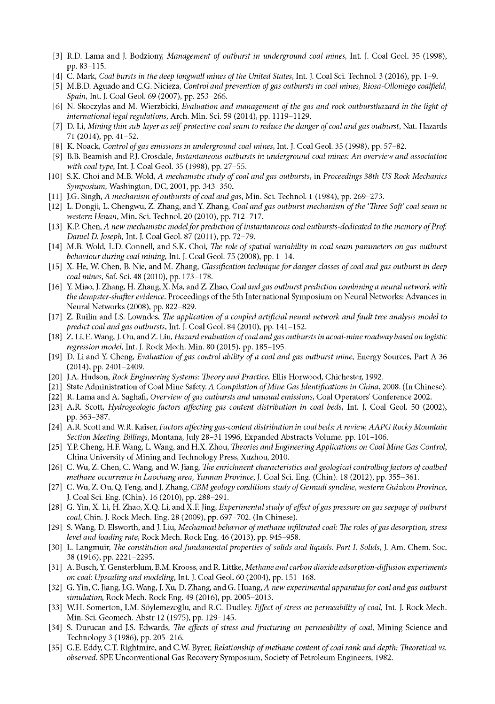- [3] R.D. Lama and J. Bodziony, *Management of outburst in underground coal mines*, Int. J. Coal Geol. 35 (1998), pp. 83-115.
- [4] C. Mark, *Coal bursts in the deep longwall mines of the United States, Int. J. Coal Sci. Technol. 3 (2016), pp. 1–9.*
- [5] M.B.D. Aguado and e.G. Nicieza, *Control and prevention ofgas outbursts in coal mines, Riosa-Olloniego coalfield, Spain*, Int. J. Coal Geol. 69 (2007), pp. 253-266.
- [6] N. Skoczylas and M. Wierzbicki, *Evaluation and management of the gas and rock outbursthazard in the light of internationallegal regulations,* Arch. Min. Sci. 59 (2014), pp. 1119-1129.
- [7] D. Li, Mining thin sub-layer as self-protective coal seam to reduce the danger of coal and gas outburst, Nat. Hazards 71 (2014), pp. 41-52.
- [8] K. Noack, *Control ofgas emissions in underground coal mines,* lnt. J. Coal Geol. 35 (1998), pp. 57-82.
- [9] E.E. Beamish and P.J. Crosdale, *Instantaneous outbursts in underground coal mines: An overview and association with coal type*, Int. J. Coal Geol. 35 (1998), pp. 27-55.
- [10] S.K. Choi and M.E. Wold, *A mechanistic study of coal and gas outbursts,* in *Proceedings 38th US Rock Mechanics Symposium,* Washington, DC, 2001, pp. 343-350.
- *[11] loG.* Singh, *A mechanism ofoutbursts of coal and gas,* Min. Sci. Technol. 1 (1984), pp. 269-273.
- [12] 1. Dongji, 1. Chengwu, Z. Zhang, and Y. Zhang, *Coal and gas outburst mechanism ofthe 'Three Soft' coal seam in western Henan,* Min. Sci. Technol. 20 (2010), pp. 712-717.
- [13] K.P. Chen, *A new mechanistic modelfor prediction ofinstantaneous coal outbursts-dedicated to the memory ofPro! Daniel D. Joseph*, Int. J. Coal Geol. 87 (2011), pp. 72-79.
- [14] M.E. Wold, L.D. Connell, and S.K. Choi, *The role ofspatial variability in coal seam parameters on gas outburst behaviour during coal mining*, Int. J. Coal Geol. 75 (2008), pp. 1-14.
- [15] X. He, W Chen, B. Nie, and M. Zhang, *Classification technique for danger classes of coal and gas outburst in deep coal mines,* Saf. Sci. 48 (2010), pp. 173-178.
- [16] Y. Miao, *lo* Zhang, H. Zhang, X. Ma, and Z. Zhao, *Coal and gas outburstprediction combining a neural network with the dempster-shafter evidence.* Proceedings ofthe 5th lnternational Symposium on Neural Networks: Advances in Neural Networks (2008), pp. 822-829.
- [17] Z. Ruilin and LS. Lowndes, *The application ofa coupled artificial neural network and fault tree analysis model to predict coal and gas outbursts, Int. J. Coal Geol. 84 (2010), pp. 141-152.*
- [18] Z. Li, E. Wang, *lo* Ou, andZ. Liu, *Hazard evaluation ofcoal andgas outbursts in acoal-mine roadwaybased on logistic regression model*, Int. J. Rock Mech. Min. 80 (2015), pp. 185–195.
- [19] D. Li and Y. Cheng, *Evaluation ofgas control ability of a coal and gas outburst mine,* Energy Sources, Part A 36 (2014), pp. 2401-2409.
- *[20] loA.* Hudson, *Rock Engineering Systems: Theory and Practice,* Ellis Horwood, Chichester, 1992.
- [21] State Administration ofCoal Mine Safety. *A Compilation ofMine Gas Identifications in China,* 2008. (In Chinese).
- [22] R. Lama and A. Saghafi, *Overview ofgas outbursts and unusual emissions,* Coal Operators' Conference 2002.
- [23] A.R. Scott, *Hydrogeologic factors affecting gas content distribution in coal beds,* lnt. *lo* Coal Geol. 50 (2002), pp. 363-387.
- [24] A.R. Scott and WR. Kaiser, *Factors affectinggas-content distribution in coal beds: A review, AAPG Rocky Mountain Section Meeting, Billings,* Montana, July 28-31 1996, Expanded Abstracts Volume. pp. 101-106.
- [25] Y.P. Cheng, H.E Wang, 1. Wang, and H.X. Zhou, *Theories and EngineeringApplications on Coal Mine Gas Control,* China University of Mining and Technology Press, Xuzhou, 2010.
- [26] e. Wu, Z. Chen, e. Wang, and W Jiang, *The enrichment characteristics and geological controllingfactors ofcoalbed methane occurrence in Laochang area, Yunnan Province, lo* Coal Sci. Eng. (Chin). 18 (2012), pp. 355-361.
- [27] C. Wu, Z. Ou, Q. Feng, and J. Zhang, CBM geology conditions study of Gemudi syncline, western Guizhou Province, *J.* Coal Sci. Eng. (Chin). 16 (2010), pp. 288-291.
- [28] G. Yin, X. Li, H. Zhao, X.Q. Li, and X.E Jing, *Experimental study ofeffect ofgas pressure on gas seepage of outburst* coal, Chin. J. Rock Mech. Eng. 28 (2009), pp. 697-702. (In Chinese).
- [29] S. Wang, D. Elsworth, and J. Liu, *Mechanical behavior of methane infiltrated coal: The roles of gas desorption, stress level and loading rate,* Rock Mech. Rock Eng. 46 (2013), pp. 945-958.
- [30] 1. Langmuir, *The constitution and fundamental properties ofsolids and liquids. Part* I. *Solids, lo* Am. Chem. SOCo 38 (1916), pp. 2221-2295.
- [31] A. Busch, Y. Gensterblum, E.M. Krooss, and R. Littke, *Methane and carbon dioxide adsorption-diffusion experiments on coal: Upscaling and modeling, Int. J. Coal Geol. 60 (2004), pp. 151-168.*
- [32] G. Yin, e. Jiang, *loG.* Wang, *lo* Xu, D. Zhang, and G. Huang, *A new experimental apparatusforcoal andgas outburst simulation,* Rock Mech. Rock Eng. 49 (2016), pp. 2005-2013.
- [33] W.H. Somerton, I.M. Söylemezoglu, and R.C. Dudley. *Effect of stress on permeability of coal*, Int. J. Rock Mech. Min. Sci. Geomech. Abstr 12 (1975), pp. 129-145.
- [34] S. Durucan and *loS.* Edwards, *The effects of stress and fracturing on permeability of coal,* Mining Science and Technology 3 (1986), pp. 205-216.
- [35] G.E. Eddy, C.T. Rightmire, and C.W. Byrer, *Relationship of methane content of coal rank and depth: Theoretical vs. observed.* SPE Unconventional Gas Recovery Symposium, Society of Petroleum Engineers, 1982.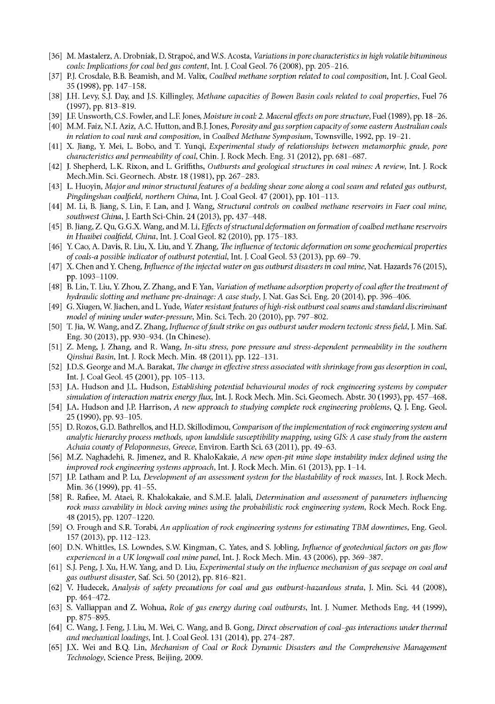- [36] M. Mastalerz, A. Drobniak, D. Strapoć, and W.S. Acosta, *Variations in pore characteristics in high volatile bituminous coals: Implications for coal bed gas content, Int. J. Coal Geol. 76 (2008), pp. 205-216.*
- [37] P.J. Crasdale, B.E. Beamish, and M. Valix, *Coalbed methane sorption related to coal composition,* lnt. J. Coal Geol. 35 (1998),pp. 147-158.
- *[38]* rH. Levy, S.J. Day, and *loS.* Killingley, *Methane capacities ofBowen Basin coals related to coal praperties,* Fuel 76 (1997), pp. 813-819.
- [39] rE Unsworth, C.S. Fowler, and L.E Jones, *Moisture in coal:* 2. *Maceral effects on pare structure,* Fue! (1989), pp. 18-26.
- [40] M.M. Faiz, N.I. Aziz, A.C. Hutton, and B.J. Jones, *Porosity and gas sorption capacity of some eastern Australian coals in relation to coal rank and composition,* in *Coalbed Methane Symposium,* Townsville, 1992, pp. 19-21.
- [41] X. Jiang, y. Mei, 1. Bobo, and T. Yunqi, *Experimental study of relationships between metamorphic grade, pare characteristics and permeability of coal,* Chino *lo* Rock Mech. Eng. 31 (2012), pp. 681-687.
- *[42] lo* Shepherd, L.K. Rixon, and 1. Griffiths, *Outbursts and geological structures in coal mines: A review,* lnt. *lo* Rock Mech.Min. Sci. Geornech. Abstr. 18 (1981), pp. 267-283.
- [43] L. Huoyin, Major and minor structural features of a bedding shear zone along a coal seam and related gas outburst, *Pingdingshan coalfield, northern China, Int. J. Coal Geol. 47 (2001), pp. 101-113.*
- [44] M. U, E. Jiang, S. Un, E Lan, and *lo* Wang, *Structural contrals on coalbed methane reservoirs in Faer coal mine, southwest China, J. Earth Sci-Chin. 24 (2013), pp. 437-448.*
- [45] E. Jiang, Z. Qu, G.G.x. Wang, and M. U, *Effects ofstructural deformation on formation ofcoalbed methane reservoirs in Huaibei coalfield, China, Int. J. Coal Geol. 82 (2010), pp. 175-183.*
- [46] Y. Cao, A. Davis, R. Uu, X. Uu, and Y. Zhang, *The influence oftectonic deformation on some geochemical praperties of* coals-a possible *indicator* of outburst potential, Int. J. Coal Geol. 53 (2013), pp. 69-79.
- [47] X. Chen and Y. Cheng, *Influence ofthe injected waterongas outburstdisasters in coal mine,* Nat. Hazards 76 (2015), pp. 1093-1109.
- [48] E. Un, T. Uu, y. Zhou, Z. Zhang, and E Yan, *Variation ofmethane adsorption praperty ofcoal after the treatment of hydraulic slotting and methane pre-drainage: A case study, J. Nat. Gas Sci. Eng. 20 (2014), pp. 396-406.*
- [49] G. Xiugen, W. Jiachen, and 1. Yude, *Water resistantfeatures ofhigh-risk outburst coalseams and standard discriminant model ofmining under water-pressure,* Min. Sci. Tech. 20 (2010), pp. 797-802.
- [50] 1. Jia, W Wang, andZ. Zhang, *Influence offaultstrike ongas outburst under modern tectonic stressfield, lo* Min. Saf. Eng. 30 (2013), pp. 930-934. (In Chinese).
- [51] Z. Meng, *lo* Zhang, and R. Wang, *In-situ stress, pare pressure and stress-dependent permeability in the southern Qinshui Basin,* lnt. J. Rock Mech. Min. 48 (2011), pp. 122-131.
- *[52]* rD.S. George and M.A. Barakat, *The change in effective stress associated with shrinkagefram gas desorption in coal,* Int. *J.* Coal Geol. 45 (2001), pp. 105-113.
- [53] J.A. Hudson and J.L. Hudson, *Establishing potential behavioural modes of rock engineering systems by computer simulation ofinteraction matrix energy flux,* lnt. J. Rock Mech. Min. Sci. Geomech. Abstr. 30 (1993), pp. 457-468.
- *[54]* J.A. Hudson and J.P. Harrison, *A new approach to studying complete rock engineering problems, Q. J. Eng. Geol.* 25 (1990), pp. 93-105.
- [55] D. Rozos, G.D. Bathrellos, and H.D. Skillodimou, *Comparison ofthe implementation ofrack engineering system and analytic hierarchy pracess methods, upon landslide susceptibility mapping, using GIS: A case studyfram the eastern Achaia county ofPeloponnesus, Greece,* Enviran. Earth Sci. 63 (2011), pp. 49-63.
- [56] M.Z. Naghadehi, R. Jimenez, and R. KhaloKakaie, *A new open-pit mine slope instability index defined using the impraved rack engineering systems appraach,* lnt. J. Rock Mech. Min. 61 (2013), pp. 1-14.
- [57] rp. Latham and P. Lu, *Development ofan assessment system for the blastability ofrack masses,* lnt. *lo* Rock Mech. Min. 36 (1999), pp. 41-55.
- [58] R. Rafiee, M. Ataei, R. Khalokakaie, and S.M.E. Jalali, *Determination and assessment of parameters influencing rack mass cavability in block caving mines using the prababilistic rack engineering system,* Rock Mech. Rock Eng. 48 (2015), pp. 1207-1220.
- [59] O. Fraugh and S.R. Torabi, *An application ofrack engineering systems for estimating TBM downtimes,* Eng. Geol. 157 (2013), pp. 112-123.
- [60] D.N. Whittles, I.S. Lowndes, S.W Kingman, C. Yates, and S. Jobling, *Influence ofgeotechnical factors on gas flow experienced in a UK longwall coal mine panel,* lnt. J. Rock Mech. Min. 43 (2006), pp. 369-387.
- [61] S.J. Peng, *lo* Xu, H.W. Yang, and D. Uu, *Experimental study on the influence mechanism ofgas seepage on coal and gas outburst disaster,* Saf. Sci. 50 (2012), pp. 816-821.
- [62] V. Hudecek, *Analysis of safety precautions for coal and gas outburst-hazardous strata,* J. Min. Sci. 44 (2008), pp. 464-472.
- [63] S. Valliappan and Z. Wohua, *Role of gas energy during coal outbursts,* lnt. *lo* Numer. Methods Eng. 44 (1999), pp. 875-895.
- [64] C. Wang, J. Feng, J. Liu, M. Wei, C. Wang, and B. Gong, *Direct observation of coal-gas interactions under thermal and mechanicalloadings,* lnt. J. Coal Geol. 131 (2014), pp. 274-287.
- *[65]* rX. Wei and E.Q. Un, *Mechanism of Coal or Rack Dynamic Disasters and the Comprehensive Management Technology,* Science Press, Beijing, 2009.